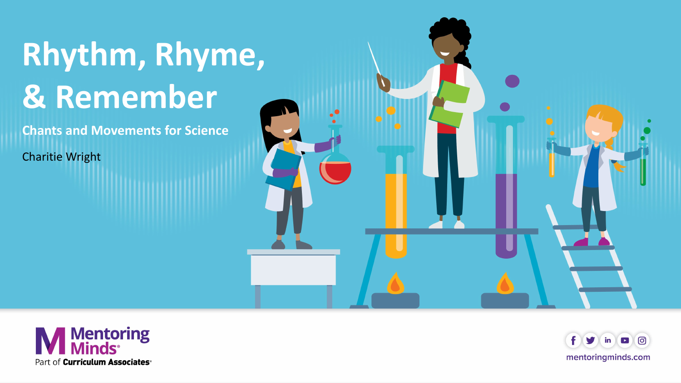# **Rhythm, Rhyme, & Remember**

**Chants and Movements for Science**

Charitie Wright





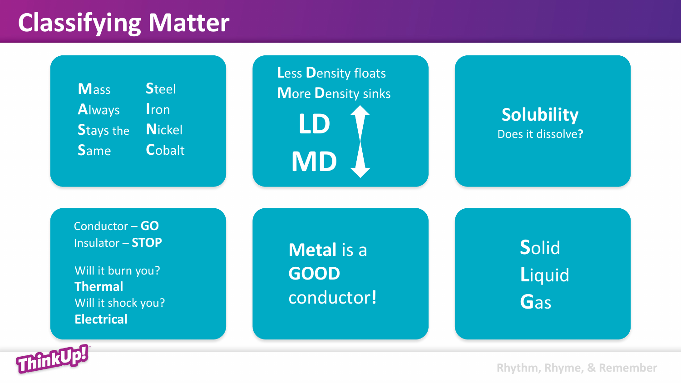## **Classifying Matter**



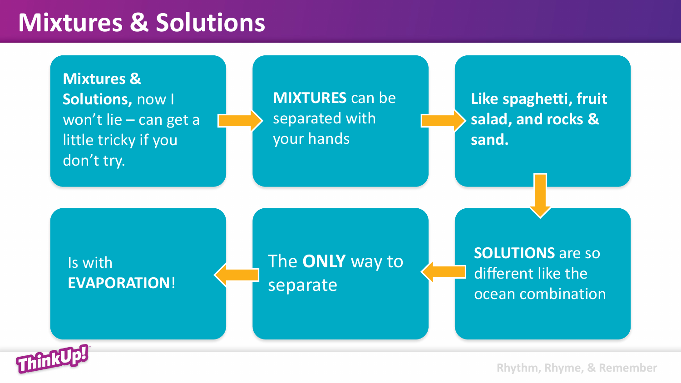#### **Mixtures & Solutions**

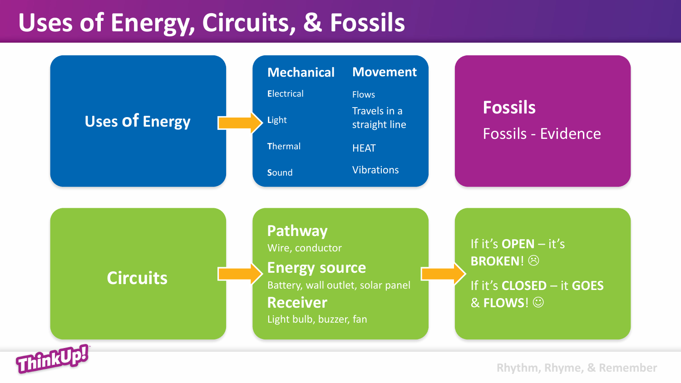### **Uses of Energy, Circuits, & Fossils**

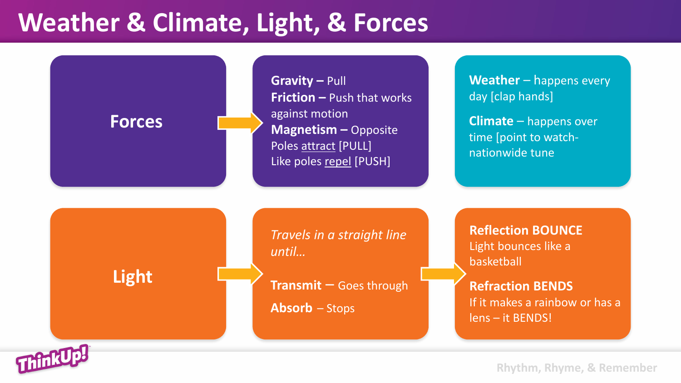#### **Weather & Climate, Light, & Forces**



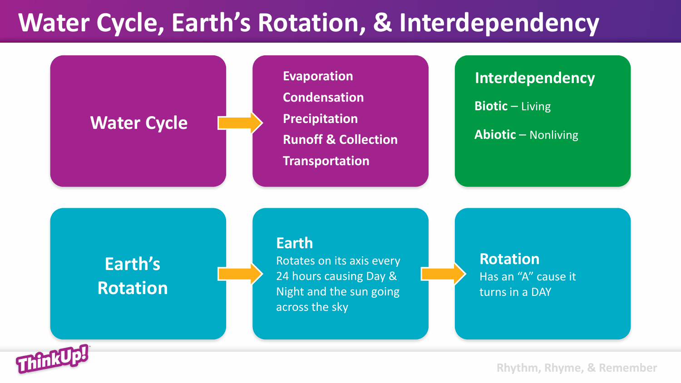#### **Water Cycle, Earth's Rotation, & Interdependency**